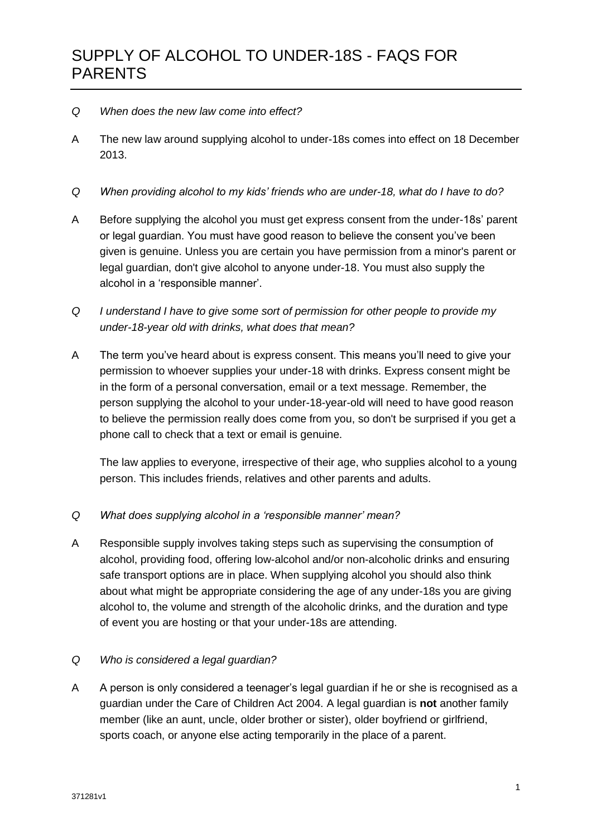- *Q When does the new law come into effect?*
- A The new law around supplying alcohol to under-18s comes into effect on 18 December 2013.
- *Q When providing alcohol to my kids' friends who are under-18, what do I have to do?*
- A Before supplying the alcohol you must get express consent from the under-18s' parent or legal guardian. You must have good reason to believe the consent you've been given is genuine. Unless you are certain you have permission from a minor's parent or legal guardian, don't give alcohol to anyone under-18. You must also supply the alcohol in a 'responsible manner'.
- *Q I understand I have to give some sort of permission for other people to provide my under-18-year old with drinks, what does that mean?*
- A The term you've heard about is express consent. This means you'll need to give your permission to whoever supplies your under-18 with drinks. Express consent might be in the form of a personal conversation, email or a text message. Remember, the person supplying the alcohol to your under-18-year-old will need to have good reason to believe the permission really does come from you, so don't be surprised if you get a phone call to check that a text or email is genuine.

The law applies to everyone, irrespective of their age, who supplies alcohol to a young person. This includes friends, relatives and other parents and adults.

## *Q What does supplying alcohol in a 'responsible manner' mean?*

A Responsible supply involves taking steps such as supervising the consumption of alcohol, providing food, offering low-alcohol and/or non-alcoholic drinks and ensuring safe transport options are in place. When supplying alcohol you should also think about what might be appropriate considering the age of any under-18s you are giving alcohol to, the volume and strength of the alcoholic drinks, and the duration and type of event you are hosting or that your under-18s are attending.

## *Q Who is considered a legal guardian?*

A A person is only considered a teenager's legal guardian if he or she is recognised as a guardian under the Care of Children Act 2004. A legal guardian is **not** another family member (like an aunt, uncle, older brother or sister), older boyfriend or girlfriend, sports coach, or anyone else acting temporarily in the place of a parent.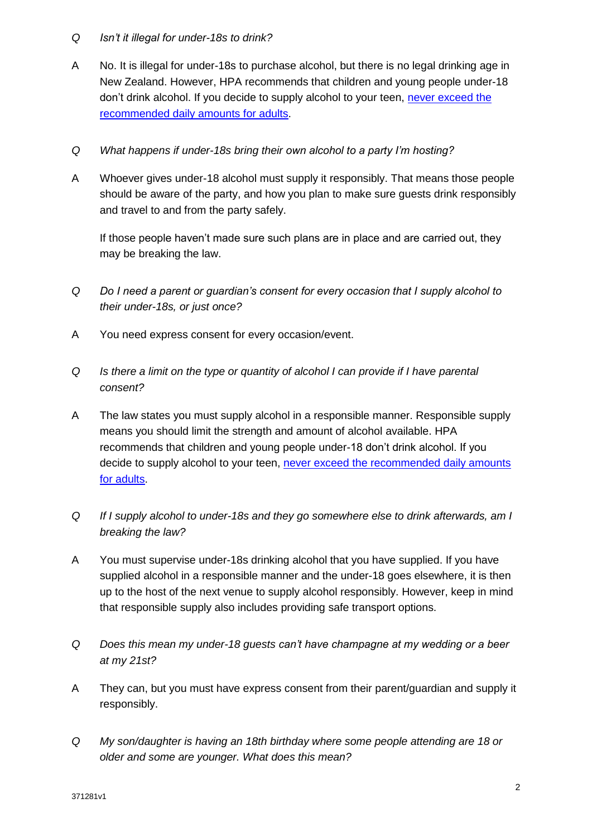## *Q Isn't it illegal for under-18s to drink?*

- A No. It is illegal for under-18s to purchase alcohol, but there is no legal drinking age in New Zealand. However, HPA recommends that children and young people under-18 don't drink alcohol. If you decide to supply alcohol to your teen, [never exceed the](http://www.alcohol.org.nz/alcohol-you/your-drinking-okay/low-risk-alcohol-drinking-advice)  [recommended daily amounts for adults.](http://www.alcohol.org.nz/alcohol-you/your-drinking-okay/low-risk-alcohol-drinking-advice)
- *Q What happens if under-18s bring their own alcohol to a party I'm hosting?*
- A Whoever gives under-18 alcohol must supply it responsibly. That means those people should be aware of the party, and how you plan to make sure guests drink responsibly and travel to and from the party safely.

If those people haven't made sure such plans are in place and are carried out, they may be breaking the law.

- *Q Do I need a parent or guardian's consent for every occasion that I supply alcohol to their under-18s, or just once?*
- A You need express consent for every occasion/event.
- *Q Is there a limit on the type or quantity of alcohol I can provide if I have parental consent?*
- A The law states you must supply alcohol in a responsible manner. Responsible supply means you should limit the strength and amount of alcohol available. HPA recommends that children and young people under-18 don't drink alcohol. If you decide to supply alcohol to your teen, [never exceed the recommended daily amounts](http://www.alcohol.org.nz/alcohol-you/your-drinking-okay/low-risk-alcohol-drinking-advice)  [for adults.](http://www.alcohol.org.nz/alcohol-you/your-drinking-okay/low-risk-alcohol-drinking-advice)
- *Q If I supply alcohol to under-18s and they go somewhere else to drink afterwards, am I breaking the law?*
- A You must supervise under-18s drinking alcohol that you have supplied. If you have supplied alcohol in a responsible manner and the under-18 goes elsewhere, it is then up to the host of the next venue to supply alcohol responsibly. However, keep in mind that responsible supply also includes providing safe transport options.
- *Q Does this mean my under-18 guests can't have champagne at my wedding or a beer at my 21st?*
- A They can, but you must have express consent from their parent/guardian and supply it responsibly.
- *Q My son/daughter is having an 18th birthday where some people attending are 18 or older and some are younger. What does this mean?*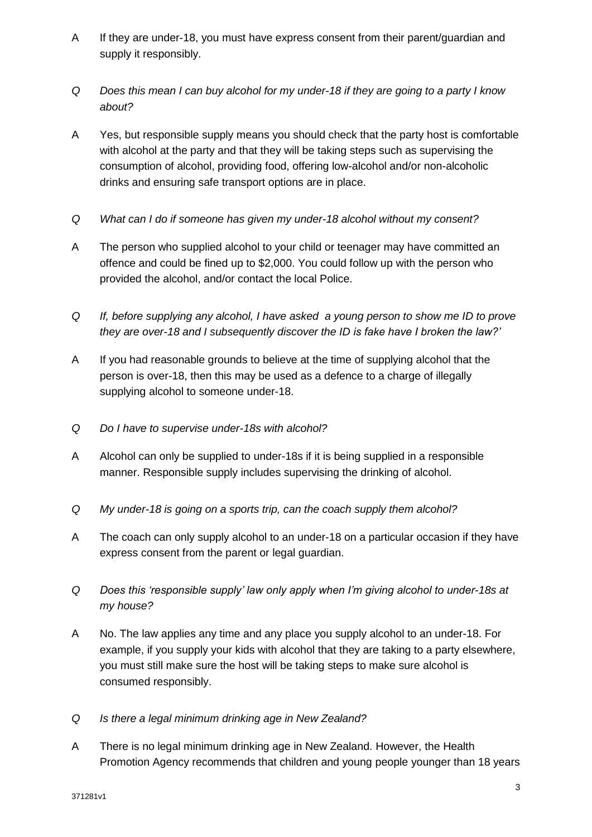- A If they are under-18, you must have express consent from their parent/guardian and supply it responsibly.
- *Q Does this mean I can buy alcohol for my under-18 if they are going to a party I know about?*
- A Yes, but responsible supply means you should check that the party host is comfortable with alcohol at the party and that they will be taking steps such as supervising the consumption of alcohol, providing food, offering low-alcohol and/or non-alcoholic drinks and ensuring safe transport options are in place.
- *Q What can I do if someone has given my under-18 alcohol without my consent?*
- A The person who supplied alcohol to your child or teenager may have committed an offence and could be fined up to \$2,000. You could follow up with the person who provided the alcohol, and/or contact the local Police.
- *Q If, before supplying any alcohol, I have asked a young person to show me ID to prove they are over-18 and I subsequently discover the ID is fake have I broken the law?'*
- A If you had reasonable grounds to believe at the time of supplying alcohol that the person is over-18, then this may be used as a defence to a charge of illegally supplying alcohol to someone under-18.
- *Q Do I have to supervise under-18s with alcohol?*
- A Alcohol can only be supplied to under-18s if it is being supplied in a responsible manner. Responsible supply includes supervising the drinking of alcohol.
- *Q My under-18 is going on a sports trip, can the coach supply them alcohol?*
- A The coach can only supply alcohol to an under-18 on a particular occasion if they have express consent from the parent or legal guardian.
- *Q Does this 'responsible supply' law only apply when I'm giving alcohol to under-18s at my house?*
- A No. The law applies any time and any place you supply alcohol to an under-18. For example, if you supply your kids with alcohol that they are taking to a party elsewhere, you must still make sure the host will be taking steps to make sure alcohol is consumed responsibly.
- *Q Is there a legal minimum drinking age in New Zealand?*
- A There is no legal minimum drinking age in New Zealand. However, the Health Promotion Agency recommends that children and young people younger than 18 years